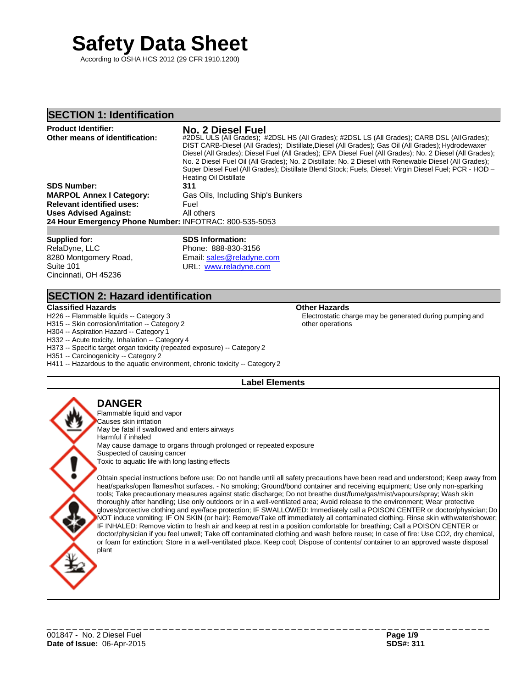# **Safety Data Sheet**

According to OSHA HCS 2012 (29 CFR 1910.1200)

## **SECTION 1: Identification**

#### **Product Identifier: No. 2 Diesel Fuel Other means of identification:** #2DSL ULS (All Grades); #2DSL HS (All Grades); #2DSL LS (All Grades); CARB DSL (AllGrades); DIST CARB-Diesel (All Grades); Distillate,Diesel (All Grades); Gas Oil (All Grades); Hydrodewaxer Diesel (All Grades); Diesel Fuel (All Grades); EPA Diesel Fuel (All Grades); No. 2 Diesel (All Grades); No. 2 Diesel Fuel Oil (All Grades); No. 2 Distillate; No. 2 Diesel with Renewable Diesel (All Grades); Super Diesel Fuel (All Grades); Distillate Blend Stock; Fuels, Diesel; Virgin Diesel Fuel; PCR - HOD – Heating Oil Distillate **SDS Number: 311 MARPOL Annex I Category:** Gas Oils, Including Ship's Bunkers **Relevant identified uses:** Fuel **Uses Advised Against:** All others **24 Hour Emergency Phone Number:** INFOTRAC: 800-535-5053

**Supplied for:** RelaDyne, LLC 8280 Montgomery Road, Suite 101 Cincinnati, OH 45236

**SDS Information:** Phone: 888-830-3156 Email: [sales@reladyne.com](mailto:sales@reladyne.com) URL: [www.reladyne.com](http://www.reladyne.com/)

# **SECTION 2: Hazard identification**

#### **Classified Hazards Other Hazards**

H226 -- Flammable liquids -- Category 3

H315 -- Skin corrosion/irritation -- Category 2

H304 -- Aspiration Hazard -- Category 1

H332 -- Acute toxicity, Inhalation -- Category 4

H373 -- Specific target organ toxicity (repeated exposure) -- Category 2

H351 -- Carcinogenicity -- Category 2

H411 -- Hazardous to the aquatic environment, chronic toxicity -- Category 2

## **Label Elements**

other operations

**DANGER**

Flammable liquid and vapor

Causes skin irritation May be fatal if swallowed and enters airways Harmful if inhaled May cause damage to organs through prolonged or repeated exposure Suspected of causing cancer Toxic to aquatic life with long lasting effects

Obtain special instructions before use; Do not handle until all safety precautions have been read and understood; Keep away from heat/sparks/open flames/hot surfaces. - No smoking; Ground/bond container and receiving equipment; Use only non-sparking tools; Take precautionary measures against static discharge; Do not breathe dust/fume/gas/mist/vapours/spray; Wash skin thoroughly after handling; Use only outdoors or in a well-ventilated area; Avoid release to the environment; Wear protective gloves/protective clothing and eye/face protection; IF SWALLOWED: Immediately call a POISON CENTER or doctor/physician; Do NOT induce vomiting; IF ON SKIN (or hair): Remove/Take off immediately all contaminated clothing. Rinse skin withwater/shower; IF INHALED: Remove victim to fresh air and keep at rest in a position comfortable for breathing; Call a POISON CENTER or doctor/physician if you feel unwell; Take off contaminated clothing and wash before reuse; In case of fire: Use CO2, dry chemical, or foam for extinction; Store in a well-ventilated place. Keep cool; Dispose of contents/ container to an approved waste disposal plant

Electrostatic charge may be generated during pumping and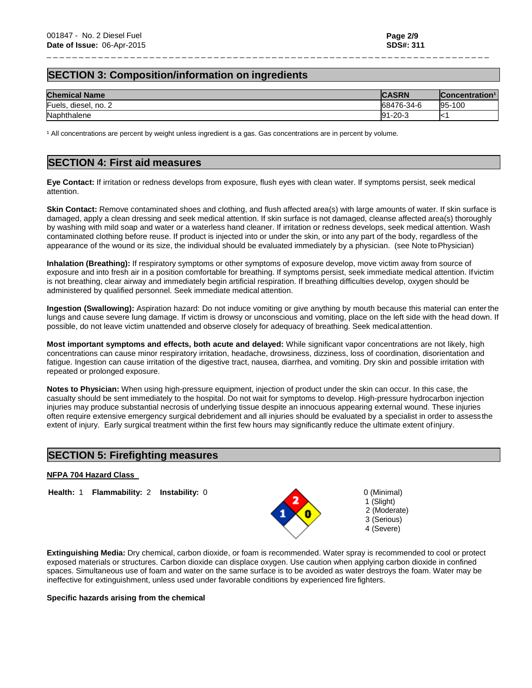# **SECTION 3: Composition/information on ingredients**

| <b>Chemical Name</b> | <b>CASRN</b>  | Concentration <sup>1</sup> |
|----------------------|---------------|----------------------------|
| Fuels, diesel, no. 2 | 68476-34-6    | 95-100                     |
| Naphthalene          | $91 - 20 - 3$ |                            |

\_ \_ \_ \_ \_ \_ \_ \_ \_ \_ \_ \_ \_ \_ \_ \_ \_ \_ \_ \_ \_ \_ \_ \_ \_ \_ \_ \_ \_ \_ \_ \_ \_ \_ \_ \_ \_ \_ \_ \_ \_ \_ \_ \_ \_ \_ \_ \_ \_ \_ \_ \_ \_ \_ \_ \_ \_ \_ \_ \_ \_ \_ \_ \_ \_ \_ \_ \_ \_

<sup>1</sup> All concentrations are percent by weight unless ingredient is a gas. Gas concentrations are in percent by volume.

## **SECTION 4: First aid measures**

**Eye Contact:** If irritation or redness develops from exposure, flush eyes with clean water. If symptoms persist, seek medical attention.

Skin Contact: Remove contaminated shoes and clothing, and flush affected area(s) with large amounts of water. If skin surface is damaged, apply a clean dressing and seek medical attention. If skin surface is not damaged, cleanse affected area(s) thoroughly by washing with mild soap and water or a waterless hand cleaner. If irritation or redness develops, seek medical attention. Wash contaminated clothing before reuse. If product is injected into or under the skin, or into any part of the body, regardless of the appearance of the wound or its size, the individual should be evaluated immediately by a physician. (see Note toPhysician)

**Inhalation (Breathing):** If respiratory symptoms or other symptoms of exposure develop, move victim away from source of exposure and into fresh air in a position comfortable for breathing. If symptoms persist, seek immediate medical attention. Ifvictim is not breathing, clear airway and immediately begin artificial respiration. If breathing difficulties develop, oxygen should be administered by qualified personnel. Seek immediate medical attention.

**Ingestion (Swallowing):** Aspiration hazard: Do not induce vomiting or give anything by mouth because this material can enter the lungs and cause severe lung damage. If victim is drowsy or unconscious and vomiting, place on the left side with the head down. If possible, do not leave victim unattended and observe closely for adequacy of breathing. Seek medicalattention.

**Most important symptoms and effects, both acute and delayed:** While significant vapor concentrations are not likely, high concentrations can cause minor respiratory irritation, headache, drowsiness, dizziness, loss of coordination, disorientation and fatigue. Ingestion can cause irritation of the digestive tract, nausea, diarrhea, and vomiting. Dry skin and possible irritation with repeated or prolonged exposure.

**Notes to Physician:** When using high-pressure equipment, injection of product under the skin can occur. In this case, the casualty should be sent immediately to the hospital. Do not wait for symptoms to develop. High-pressure hydrocarbon injection injuries may produce substantial necrosis of underlying tissue despite an innocuous appearing external wound. These injuries often require extensive emergency surgical debridement and all injuries should be evaluated by a specialist in order to assessthe extent of injury. Early surgical treatment within the first few hours may significantly reduce the ultimate extent ofinjury.

## **SECTION 5: Firefighting measures**

#### **NFPA 704 Hazard Class**

**Health:** 1 **Flammability:** 2 **Instability:** 0 0 0 0 (Minimal)



1 (Slight) 2 (Moderate) 3 (Serious) 4 (Severe)

**Extinguishing Media:** Dry chemical, carbon dioxide, or foam is recommended. Water spray is recommended to cool or protect exposed materials or structures. Carbon dioxide can displace oxygen. Use caution when applying carbon dioxide in confined spaces. Simultaneous use of foam and water on the same surface is to be avoided as water destroys the foam. Water may be ineffective for extinguishment, unless used under favorable conditions by experienced fire fighters.

**Specific hazards arising from the chemical**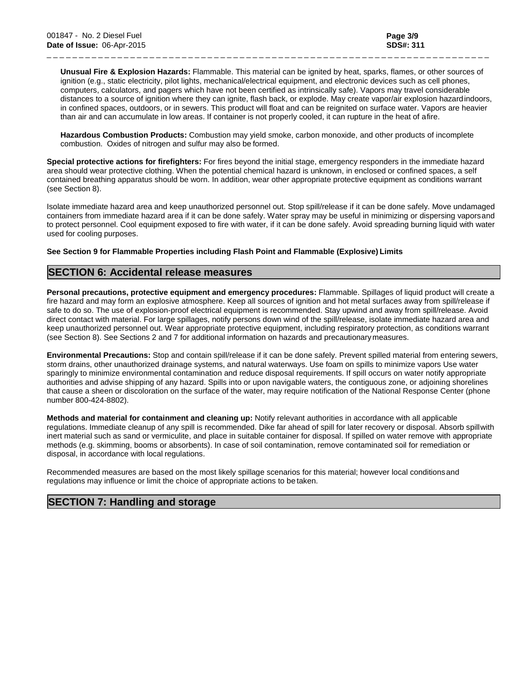**Unusual Fire & Explosion Hazards:** Flammable. This material can be ignited by heat, sparks, flames, or other sources of ignition (e.g., static electricity, pilot lights, mechanical/electrical equipment, and electronic devices such as cell phones, computers, calculators, and pagers which have not been certified as intrinsically safe). Vapors may travel considerable distances to a source of ignition where they can ignite, flash back, or explode. May create vapor/air explosion hazardindoors, in confined spaces, outdoors, or in sewers. This product will float and can be reignited on surface water. Vapors are heavier than air and can accumulate in low areas. If container is not properly cooled, it can rupture in the heat of afire.

\_ \_ \_ \_ \_ \_ \_ \_ \_ \_ \_ \_ \_ \_ \_ \_ \_ \_ \_ \_ \_ \_ \_ \_ \_ \_ \_ \_ \_ \_ \_ \_ \_ \_ \_ \_ \_ \_ \_ \_ \_ \_ \_ \_ \_ \_ \_ \_ \_ \_ \_ \_ \_ \_ \_ \_ \_ \_ \_ \_ \_ \_ \_ \_ \_ \_ \_ \_ \_

**Hazardous Combustion Products:** Combustion may yield smoke, carbon monoxide, and other products of incomplete combustion. Oxides of nitrogen and sulfur may also be formed.

**Special protective actions for firefighters:** For fires beyond the initial stage, emergency responders in the immediate hazard area should wear protective clothing. When the potential chemical hazard is unknown, in enclosed or confined spaces, a self contained breathing apparatus should be worn. In addition, wear other appropriate protective equipment as conditions warrant (see Section 8).

Isolate immediate hazard area and keep unauthorized personnel out. Stop spill/release if it can be done safely. Move undamaged containers from immediate hazard area if it can be done safely. Water spray may be useful in minimizing or dispersing vaporsand to protect personnel. Cool equipment exposed to fire with water, if it can be done safely. Avoid spreading burning liquid with water used for cooling purposes.

#### **See Section 9 for Flammable Properties including Flash Point and Flammable (Explosive) Limits**

## **SECTION 6: Accidental release measures**

**Personal precautions, protective equipment and emergency procedures:** Flammable. Spillages of liquid product will create a fire hazard and may form an explosive atmosphere. Keep all sources of ignition and hot metal surfaces away from spill/release if safe to do so. The use of explosion-proof electrical equipment is recommended. Stay upwind and away from spill/release. Avoid direct contact with material. For large spillages, notify persons down wind of the spill/release, isolate immediate hazard area and keep unauthorized personnel out. Wear appropriate protective equipment, including respiratory protection, as conditions warrant (see Section 8). See Sections 2 and 7 for additional information on hazards and precautionarymeasures.

**Environmental Precautions:** Stop and contain spill/release if it can be done safely. Prevent spilled material from entering sewers, storm drains, other unauthorized drainage systems, and natural waterways. Use foam on spills to minimize vapors Use water sparingly to minimize environmental contamination and reduce disposal requirements. If spill occurs on water notify appropriate authorities and advise shipping of any hazard. Spills into or upon navigable waters, the contiguous zone, or adjoining shorelines that cause a sheen or discoloration on the surface of the water, may require notification of the National Response Center (phone number 800-424-8802).

**Methods and material for containment and cleaning up:** Notify relevant authorities in accordance with all applicable regulations. Immediate cleanup of any spill is recommended. Dike far ahead of spill for later recovery or disposal. Absorb spillwith inert material such as sand or vermiculite, and place in suitable container for disposal. If spilled on water remove with appropriate methods (e.g. skimming, booms or absorbents). In case of soil contamination, remove contaminated soil for remediation or disposal, in accordance with local regulations.

Recommended measures are based on the most likely spillage scenarios for this material; however local conditionsand regulations may influence or limit the choice of appropriate actions to be taken.

## **SECTION 7: Handling and storage**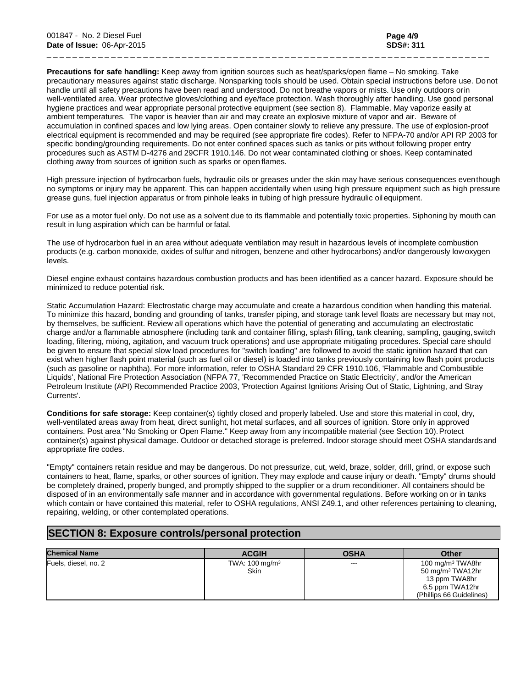**Precautions for safe handling:** Keep away from ignition sources such as heat/sparks/open flame – No smoking. Take precautionary measures against static discharge. Nonsparking tools should be used. Obtain special instructions before use. Donot handle until all safety precautions have been read and understood. Do not breathe vapors or mists. Use only outdoors orin well-ventilated area. Wear protective gloves/clothing and eye/face protection. Wash thoroughly after handling. Use good personal hygiene practices and wear appropriate personal protective equipment (see section 8). Flammable. May vaporize easily at ambient temperatures. The vapor is heavier than air and may create an explosive mixture of vapor and air. Beware of accumulation in confined spaces and low lying areas. Open container slowly to relieve any pressure. The use of explosion-proof electrical equipment is recommended and may be required (see appropriate fire codes). Refer to NFPA-70 and/or API RP 2003 for specific bonding/grounding requirements. Do not enter confined spaces such as tanks or pits without following proper entry procedures such as ASTM D-4276 and 29CFR 1910.146. Do not wear contaminated clothing or shoes. Keep contaminated clothing away from sources of ignition such as sparks or open flames.

\_ \_ \_ \_ \_ \_ \_ \_ \_ \_ \_ \_ \_ \_ \_ \_ \_ \_ \_ \_ \_ \_ \_ \_ \_ \_ \_ \_ \_ \_ \_ \_ \_ \_ \_ \_ \_ \_ \_ \_ \_ \_ \_ \_ \_ \_ \_ \_ \_ \_ \_ \_ \_ \_ \_ \_ \_ \_ \_ \_ \_ \_ \_ \_ \_ \_ \_ \_ \_

High pressure injection of hydrocarbon fuels, hydraulic oils or greases under the skin may have serious consequences eventhough no symptoms or injury may be apparent. This can happen accidentally when using high pressure equipment such as high pressure grease guns, fuel injection apparatus or from pinhole leaks in tubing of high pressure hydraulic oilequipment.

For use as a motor fuel only. Do not use as a solvent due to its flammable and potentially toxic properties. Siphoning by mouth can result in lung aspiration which can be harmful or fatal.

The use of hydrocarbon fuel in an area without adequate ventilation may result in hazardous levels of incomplete combustion products (e.g. carbon monoxide, oxides of sulfur and nitrogen, benzene and other hydrocarbons) and/or dangerously lowoxygen levels.

Diesel engine exhaust contains hazardous combustion products and has been identified as a cancer hazard. Exposure should be minimized to reduce potential risk.

Static Accumulation Hazard: Electrostatic charge may accumulate and create a hazardous condition when handling this material. To minimize this hazard, bonding and grounding of tanks, transfer piping, and storage tank level floats are necessary but may not, by themselves, be sufficient. Review all operations which have the potential of generating and accumulating an electrostatic charge and/or a flammable atmosphere (including tank and container filling, splash filling, tank cleaning, sampling, gauging,switch loading, filtering, mixing, agitation, and vacuum truck operations) and use appropriate mitigating procedures. Special care should be given to ensure that special slow load procedures for "switch loading" are followed to avoid the static ignition hazard that can exist when higher flash point material (such as fuel oil or diesel) is loaded into tanks previously containing low flash point products (such as gasoline or naphtha). For more information, refer to OSHA Standard 29 CFR 1910.106, 'Flammable and Combustible Liquids', National Fire Protection Association (NFPA 77, 'Recommended Practice on Static Electricity', and/or the American Petroleum Institute (API) Recommended Practice 2003, 'Protection Against Ignitions Arising Out of Static, Lightning, and Stray Currents'.

**Conditions for safe storage:** Keep container(s) tightly closed and properly labeled. Use and store this material in cool, dry, well-ventilated areas away from heat, direct sunlight, hot metal surfaces, and all sources of ignition. Store only in approved containers. Post area "No Smoking or Open Flame." Keep away from any incompatible material (see Section 10). Protect container(s) against physical damage. Outdoor or detached storage is preferred. Indoor storage should meet OSHA standardsand appropriate fire codes.

"Empty" containers retain residue and may be dangerous. Do not pressurize, cut, weld, braze, solder, drill, grind, or expose such containers to heat, flame, sparks, or other sources of ignition. They may explode and cause injury or death. "Empty" drums should be completely drained, properly bunged, and promptly shipped to the supplier or a drum reconditioner. All containers should be disposed of in an environmentally safe manner and in accordance with governmental regulations. Before working on or in tanks which contain or have contained this material, refer to OSHA regulations, ANSI Z49.1, and other references pertaining to cleaning, repairing, welding, or other contemplated operations.

# **SECTION 8: Exposure controls/personal protection**

| <b>Chemical Name</b> | <b>ACGIH</b>                      | <b>OSHA</b> | <b>Other</b>                                                                                                                 |
|----------------------|-----------------------------------|-------------|------------------------------------------------------------------------------------------------------------------------------|
| Fuels, diesel, no. 2 | TWA: $100 \text{ mg/m}^3$<br>Skin | $--$        | 100 mg/m <sup>3</sup> TWA8hr<br>50 mg/m <sup>3</sup> TWA12hr<br>13 ppm TWA8hr<br>6.5 ppm TWA12hr<br>(Phillips 66 Guidelines) |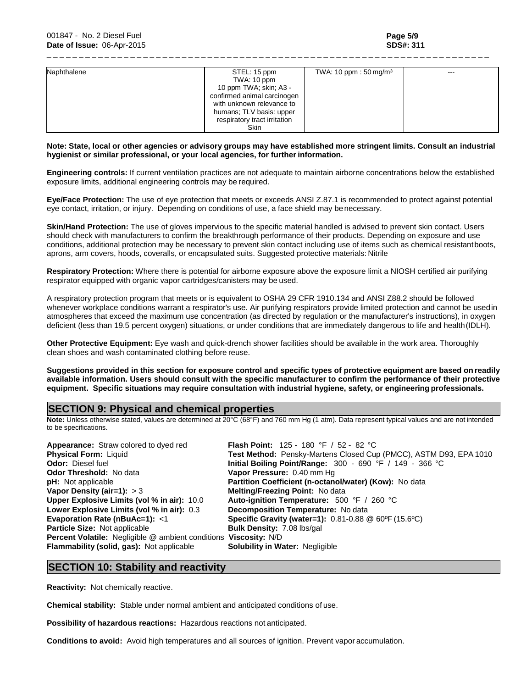| Naphthalene | STEL: 15 ppm                 | TWA: 10 ppm: $50 \,\mathrm{mg/m^3}$ | $- - -$ |
|-------------|------------------------------|-------------------------------------|---------|
|             | TWA: 10 ppm                  |                                     |         |
|             | 10 ppm TWA; skin; A3 -       |                                     |         |
|             | confirmed animal carcinogen  |                                     |         |
|             | with unknown relevance to    |                                     |         |
|             | humans; TLV basis: upper     |                                     |         |
|             | respiratory tract irritation |                                     |         |
|             | Skin                         |                                     |         |

\_ \_ \_ \_ \_ \_ \_ \_ \_ \_ \_ \_ \_ \_ \_ \_ \_ \_ \_ \_ \_ \_ \_ \_ \_ \_ \_ \_ \_ \_ \_ \_ \_ \_ \_ \_ \_ \_ \_ \_ \_ \_ \_ \_ \_ \_ \_ \_ \_ \_ \_ \_ \_ \_ \_ \_ \_ \_ \_ \_ \_ \_ \_ \_ \_ \_ \_ \_ \_

#### **Note: State, local or other agencies or advisory groups may have established more stringent limits. Consult an industrial hygienist or similar professional, or your local agencies, for further information.**

**Engineering controls:** If current ventilation practices are not adequate to maintain airborne concentrations below the established exposure limits, additional engineering controls may be required.

**Eye/Face Protection:** The use of eye protection that meets or exceeds ANSI Z.87.1 is recommended to protect against potential eye contact, irritation, or injury. Depending on conditions of use, a face shield may benecessary.

**Skin/Hand Protection:** The use of gloves impervious to the specific material handled is advised to prevent skin contact. Users should check with manufacturers to confirm the breakthrough performance of their products. Depending on exposure and use conditions, additional protection may be necessary to prevent skin contact including use of items such as chemical resistantboots, aprons, arm covers, hoods, coveralls, or encapsulated suits. Suggested protective materials: Nitrile

**Respiratory Protection:** Where there is potential for airborne exposure above the exposure limit a NIOSH certified air purifying respirator equipped with organic vapor cartridges/canisters may be used.

A respiratory protection program that meets or is equivalent to OSHA 29 CFR 1910.134 and ANSI Z88.2 should be followed whenever workplace conditions warrant a respirator's use. Air purifying respirators provide limited protection and cannot be usedin atmospheres that exceed the maximum use concentration (as directed by regulation or the manufacturer's instructions), in oxygen deficient (less than 19.5 percent oxygen) situations, or under conditions that are immediately dangerous to life and health (IDLH).

**Other Protective Equipment:** Eye wash and quick-drench shower facilities should be available in the work area. Thoroughly clean shoes and wash contaminated clothing before reuse.

**Suggestions provided in this section for exposure control and specific types of protective equipment are based on readily available information. Users should consult with the specific manufacturer to confirm the performance of their protective equipment. Specific situations may require consultation with industrial hygiene, safety, or engineering professionals.**

## **SECTION 9: Physical and chemical properties**

**Note:** Unless otherwise stated, values are determined at 20°C (68°F) and 760 mm Hg (1 atm). Data represent typical values and are not intended to be specifications.

**Appearance:** Straw colored to dyed red **Flash Point:** 125 - 180 °F / 52 - 82 °C **Vapor Density (air=1):** > 3 **Melting/Freezing Point:** No data<br>
Upper Explosive Limits (vol % in air): 10.0 Auto-ignition Temperature: 500 **Lower Explosive Limits (vol % in air):** 0.3 **Evaporation Rate (nBuAc=1):** <1 **Particle Size:** Not applicable **Bulk Density:** 7.08 lbs/gal **Percent Volatile:** Negligible @ ambient conditions **Viscosity:** N/D **Flammability (solid, gas):** Not applicable **Solubility in Water:** Negligible

**Physical Form:** Liquid **Test Method:** Pensky-Martens Closed Cup (PMCC), ASTM D93, EPA 1010<br> **Odor:** Diesel fuel **The Close of Act And Act Analysis Collect Analysis Collect Property Close C** and Collect Pri **Odor:** Diesel fuel **Initial Boiling Point/Range:** 300 - 690 °F / 149 - 366 °C<br> **Odor Threshold:** No data **Initial Boiling Pressure:** 0.40 mm Hq **Vapor Pressure: 0.40 mm Hg pH:** Not applicable **Partition Coefficient (n-octanol/water) (Kow):** No data **Vapor Density (air=1):** > 3 **Auto-ignition Temperature: 500 °F / 260 °C<br><b>Decomposition Temperature:** No data **Specific Gravity (water=1):**  $0.81 - 0.88$  @ 60°F (15.6°C)

## **SECTION 10: Stability and reactivity**

**Reactivity:** Not chemically reactive.

**Chemical stability:** Stable under normal ambient and anticipated conditions of use.

**Possibility of hazardous reactions:** Hazardous reactions not anticipated.

**Conditions to avoid:** Avoid high temperatures and all sources of ignition. Prevent vapor accumulation.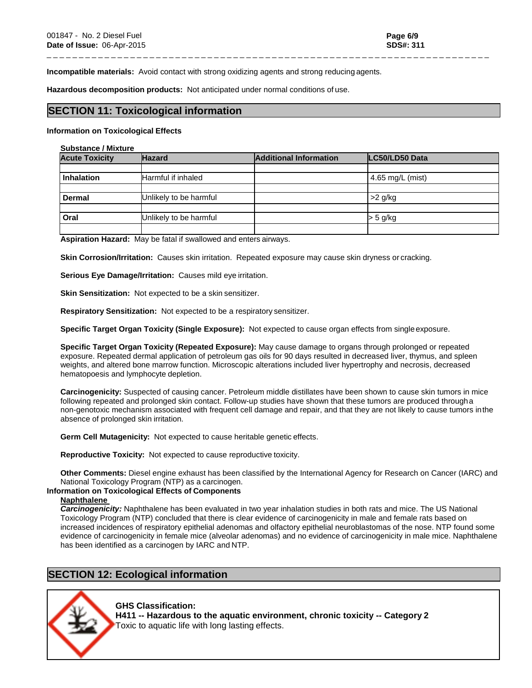**Incompatible materials:** Avoid contact with strong oxidizing agents and strong reducing agents.

**Hazardous decomposition products:** Not anticipated under normal conditions of use.

## **SECTION 11: Toxicological information**

#### **Information on Toxicological Effects**

#### **Substance / Mixture**

| <b>Acute Toxicity</b> | <b>Hazard</b>          | <b>Additional Information</b> | LC50/LD50 Data   |
|-----------------------|------------------------|-------------------------------|------------------|
|                       |                        |                               |                  |
| <b>Inhalation</b>     | Harmful if inhaled     |                               | 4.65 mg/L (mist) |
|                       |                        |                               |                  |
| <b>Dermal</b>         | Unlikely to be harmful |                               | >2 g/kg          |
|                       |                        |                               |                  |
| Oral                  | Unlikely to be harmful |                               | > 5 g/kg         |
|                       |                        |                               |                  |

\_ \_ \_ \_ \_ \_ \_ \_ \_ \_ \_ \_ \_ \_ \_ \_ \_ \_ \_ \_ \_ \_ \_ \_ \_ \_ \_ \_ \_ \_ \_ \_ \_ \_ \_ \_ \_ \_ \_ \_ \_ \_ \_ \_ \_ \_ \_ \_ \_ \_ \_ \_ \_ \_ \_ \_ \_ \_ \_ \_ \_ \_ \_ \_ \_ \_ \_ \_ \_

**Aspiration Hazard:** May be fatal if swallowed and enters airways.

**Skin Corrosion/Irritation:** Causes skin irritation. Repeated exposure may cause skin dryness or cracking.

**Serious Eye Damage/Irritation:** Causes mild eye irritation.

**Skin Sensitization:** Not expected to be a skin sensitizer.

**Respiratory Sensitization:** Not expected to be a respiratory sensitizer.

**Specific Target Organ Toxicity (Single Exposure):** Not expected to cause organ effects from single exposure.

**Specific Target Organ Toxicity (Repeated Exposure):** May cause damage to organs through prolonged or repeated exposure. Repeated dermal application of petroleum gas oils for 90 days resulted in decreased liver, thymus, and spleen weights, and altered bone marrow function. Microscopic alterations included liver hypertrophy and necrosis, decreased hematopoesis and lymphocyte depletion.

**Carcinogenicity:** Suspected of causing cancer. Petroleum middle distillates have been shown to cause skin tumors in mice following repeated and prolonged skin contact. Follow-up studies have shown that these tumors are produced througha non-genotoxic mechanism associated with frequent cell damage and repair, and that they are not likely to cause tumors inthe absence of prolonged skin irritation.

**Germ Cell Mutagenicity:** Not expected to cause heritable genetic effects.

**Reproductive Toxicity:** Not expected to cause reproductive toxicity.

**Other Comments:** Diesel engine exhaust has been classified by the International Agency for Research on Cancer (IARC) and National Toxicology Program (NTP) as a carcinogen.

#### **Information on Toxicological Effects of Components**

#### **Naphthalene**

*Carcinogenicity:* Naphthalene has been evaluated in two year inhalation studies in both rats and mice. The US National Toxicology Program (NTP) concluded that there is clear evidence of carcinogenicity in male and female rats based on increased incidences of respiratory epithelial adenomas and olfactory epithelial neuroblastomas of the nose. NTP found some evidence of carcinogenicity in female mice (alveolar adenomas) and no evidence of carcinogenicity in male mice. Naphthalene has been identified as a carcinogen by IARC and NTP.

## **SECTION 12: Ecological information**

#### **GHS Classification:**

**H411 -- Hazardous to the aquatic environment, chronic toxicity -- Category 2** Toxic to aquatic life with long lasting effects.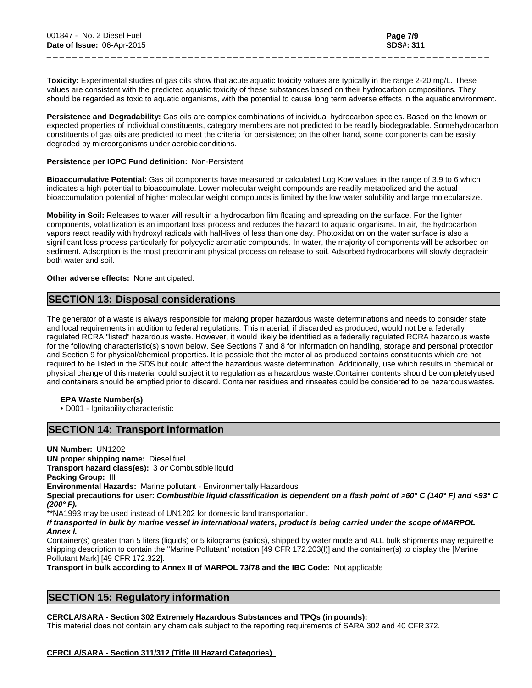**Toxicity:** Experimental studies of gas oils show that acute aquatic toxicity values are typically in the range 2-20 mg/L. These values are consistent with the predicted aquatic toxicity of these substances based on their hydrocarbon compositions. They should be regarded as toxic to aquatic organisms, with the potential to cause long term adverse effects in the aquaticenvironment.

\_ \_ \_ \_ \_ \_ \_ \_ \_ \_ \_ \_ \_ \_ \_ \_ \_ \_ \_ \_ \_ \_ \_ \_ \_ \_ \_ \_ \_ \_ \_ \_ \_ \_ \_ \_ \_ \_ \_ \_ \_ \_ \_ \_ \_ \_ \_ \_ \_ \_ \_ \_ \_ \_ \_ \_ \_ \_ \_ \_ \_ \_ \_ \_ \_ \_ \_ \_ \_

**Persistence and Degradability:** Gas oils are complex combinations of individual hydrocarbon species. Based on the known or expected properties of individual constituents, category members are not predicted to be readily biodegradable. Somehydrocarbon constituents of gas oils are predicted to meet the criteria for persistence; on the other hand, some components can be easily degraded by microorganisms under aerobic conditions.

#### **Persistence per IOPC Fund definition:** Non-Persistent

**Bioaccumulative Potential:** Gas oil components have measured or calculated Log Kow values in the range of 3.9 to 6 which indicates a high potential to bioaccumulate. Lower molecular weight compounds are readily metabolized and the actual bioaccumulation potential of higher molecular weight compounds is limited by the low water solubility and large molecularsize.

**Mobility in Soil:** Releases to water will result in a hydrocarbon film floating and spreading on the surface. For the lighter components, volatilization is an important loss process and reduces the hazard to aquatic organisms. In air, the hydrocarbon vapors react readily with hydroxyl radicals with half-lives of less than one day. Photoxidation on the water surface is also a significant loss process particularly for polycyclic aromatic compounds. In water, the majority of components will be adsorbed on sediment. Adsorption is the most predominant physical process on release to soil. Adsorbed hydrocarbons will slowly degradein both water and soil.

#### **Other adverse effects:** None anticipated.

## **SECTION 13: Disposal considerations**

The generator of a waste is always responsible for making proper hazardous waste determinations and needs to consider state and local requirements in addition to federal regulations. This material, if discarded as produced, would not be a federally regulated RCRA "listed" hazardous waste. However, it would likely be identified as a federally regulated RCRA hazardous waste for the following characteristic(s) shown below. See Sections 7 and 8 for information on handling, storage and personal protection and Section 9 for physical/chemical properties. It is possible that the material as produced contains constituents which are not required to be listed in the SDS but could affect the hazardous waste determination. Additionally, use which results in chemical or physical change of this material could subject it to regulation as a hazardous waste.Container contents should be completelyused and containers should be emptied prior to discard. Container residues and rinseates could be considered to be hazardouswastes.

#### **EPA Waste Number(s)**

• D001 - Ignitability characteristic

## **SECTION 14: Transport information**

**UN Number:** UN1202 **UN proper shipping name:** Diesel fuel **Transport hazard class(es):** 3 *or* Combustible liquid **Packing Group:** III **Environmental Hazards:** Marine pollutant - Environmentally Hazardous **Special precautions for user:** *Combustible liquid classification is dependent on a flash point of >60° C (140° F) and <93° C (200° F).* \*\*NA1993 may be used instead of UN1202 for domestic land transportation. *If transported in bulk by marine vessel in international waters, product is being carried under the scope of MARPOL Annex I.* Container(s) greater than 5 liters (liquids) or 5 kilograms (solids), shipped by water mode and ALL bulk shipments may requirethe

shipping description to contain the "Marine Pollutant" notation [49 CFR 172.203(l)] and the container(s) to display the [Marine Pollutant Mark] [49 CFR 172.322].

**Transport in bulk according to Annex II of MARPOL 73/78 and the IBC Code:** Not applicable

# **SECTION 15: Regulatory information**

#### **CERCLA/SARA - Section 302 Extremely Hazardous Substances and TPQs (in pounds):**

This material does not contain any chemicals subject to the reporting requirements of SARA 302 and 40 CFR372.

#### **CERCLA/SARA - Section 311/312 (Title III Hazard Categories)**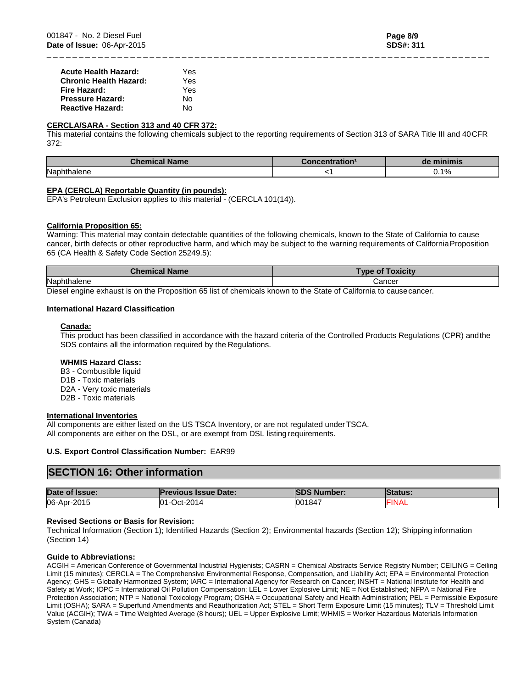### **CERCLA/SARA - Section 313 and 40 CFR 372:**

This material contains the following chemicals subject to the reporting requirements of Section 313 of SARA Title III and 40CFR 372:

\_ \_ \_ \_ \_ \_ \_ \_ \_ \_ \_ \_ \_ \_ \_ \_ \_ \_ \_ \_ \_ \_ \_ \_ \_ \_ \_ \_ \_ \_ \_ \_ \_ \_ \_ \_ \_ \_ \_ \_ \_ \_ \_ \_ \_ \_ \_ \_ \_ \_ \_ \_ \_ \_ \_ \_ \_ \_ \_ \_ \_ \_ \_ \_ \_ \_ \_ \_ \_

| .<br>lame       | uon | . .  |
|-----------------|-----|------|
| Naph.<br>naiene |     | 0.1% |

## **EPA (CERCLA) Reportable Quantity (in pounds):**

EPA's Petroleum Exclusion applies to this material - (CERCLA 101(14)).

## **California Proposition 65:**

Warning: This material may contain detectable quantities of the following chemicals, known to the State of California to cause cancer, birth defects or other reproductive harm, and which may be subject to the warning requirements of CaliforniaProposition 65 (CA Health & Safety Code Section 25249.5):

| <b>Chemical Name</b> | <b>Type of Toxicity</b> |  |
|----------------------|-------------------------|--|
| Naphthalene          | Cancer                  |  |

Diesel engine exhaust is on the Proposition 65 list of chemicals known to the State of California to causecancer.

## **International Hazard Classification**

#### **Canada:**

This product has been classified in accordance with the hazard criteria of the Controlled Products Regulations (CPR) andthe SDS contains all the information required by the Regulations.

#### **WHMIS Hazard Class:**

B3 - Combustible liquid D1B - Toxic materials D2A - Very toxic materials D2B - Toxic materials

#### **International Inventories**

All components are either listed on the US TSCA Inventory, or are not regulated underTSCA. All components are either on the DSL, or are exempt from DSL listing requirements.

#### **U.S. Export Control Classification Number:** EAR99

## **SECTION 16: Other information**

| Date of Issue: | <b>Previous Issue Date:</b> | <b>ISDS Number:</b> | <b>Status:</b> |
|----------------|-----------------------------|---------------------|----------------|
| 06-Apr-2015    | Oct-2014<br>$01 -$          | 001847              | <b>FINAL</b>   |

#### **Revised Sections or Basis for Revision:**

Technical Information (Section 1); Identified Hazards (Section 2); Environmental hazards (Section 12); Shippinginformation (Section 14)

#### **Guide to Abbreviations:**

ACGIH = American Conference of Governmental Industrial Hygienists; CASRN = Chemical Abstracts Service Registry Number; CEILING = Ceiling Limit (15 minutes); CERCLA = The Comprehensive Environmental Response, Compensation, and Liability Act; EPA = Environmental Protection Agency; GHS = Globally Harmonized System; IARC = International Agency for Research on Cancer; INSHT = National Institute for Health and Safety at Work; IOPC = International Oil Pollution Compensation; LEL = Lower Explosive Limit; NE = Not Established; NFPA = National Fire Protection Association; NTP = National Toxicology Program; OSHA = Occupational Safety and Health Administration; PEL = Permissible Exposure Limit (OSHA); SARA = Superfund Amendments and Reauthorization Act; STEL = Short Term Exposure Limit (15 minutes); TLV = Threshold Limit Value (ACGIH); TWA = Time Weighted Average (8 hours); UEL = Upper Explosive Limit; WHMIS = Worker Hazardous Materials Information System (Canada)